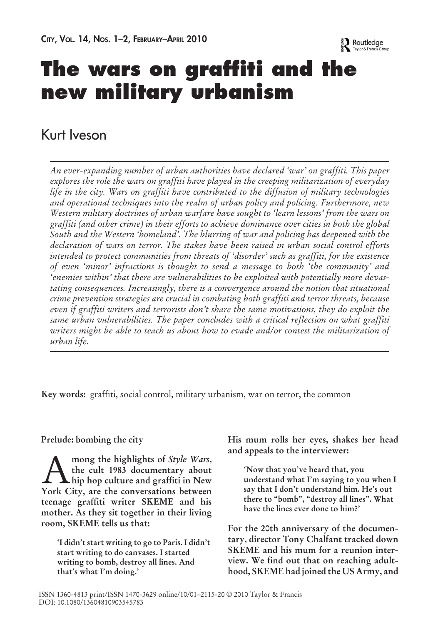# **The wars on graffiti and the new military urbanism**

# Kurt Iveson

*An ever-expanding number of urban authorities have declared 'war' on graffiti. This paper explores the role the wars on graffiti have played in the creeping militarization of everyday life in the city. Wars on graffiti have contributed to the diffusion of military technologies and operational techniques into the realm of urban policy and policing. Furthermore, new Western military doctrines of urban warfare have sought to 'learn lessons' from the wars on graffiti (and other crime) in their efforts to achieve dominance over cities in both the global South and the Western 'homeland'. The blurring of war and policing has deepened with the declaration of wars on terror. The stakes have been raised in urban social control efforts intended to protect communities from threats of 'disorder' such as graffiti, for the existence of even 'minor' infractions is thought to send a message to both 'the community' and 'enemies within' that there are vulnerabilities to be exploited with potentially more devastating consequences. Increasingly, there is a convergence around the notion that situational crime prevention strategies are crucial in combating both graffiti and terror threats, because even if graffiti writers and terrorists don't share the same motivations, they do exploit the same urban vulnerabilities. The paper concludes with a critical reflection on what graffiti writers might be able to teach us about how to evade and/or contest the militarization of urban life.*

**Key words:** graffiti, social control, military urbanism, war on terror, the common

**Prelude: bombing the city**

**mong the highlights of** *Style Wars***, the cult 1983 documentary about hip hop culture and graffiti in New A** mong the highlights of *Style Wars*,<br>the cult 1983 documentary about<br>York City, are the conversations between **teenage graffiti writer SKEME and his mother. As they sit together in their living room, SKEME tells us that:**

**'I didn't start writing to go to Paris. I didn't start writing to do canvases. I started writing to bomb, destroy all lines. And that's what I'm doing.'**

**His mum rolls her eyes, shakes her head and appeals to the interviewer:**

**'Now that you've heard that, you understand what I'm saying to you when I say that I don't understand him. He's out there to "bomb", "destroy all lines". What have the lines ever done to him?'**

**For the 20th anniversary of the documentary, director Tony Chalfant tracked down SKEME and his mum for a reunion interview. We find out that on reaching adulthood, SKEME had joined the US Army, and**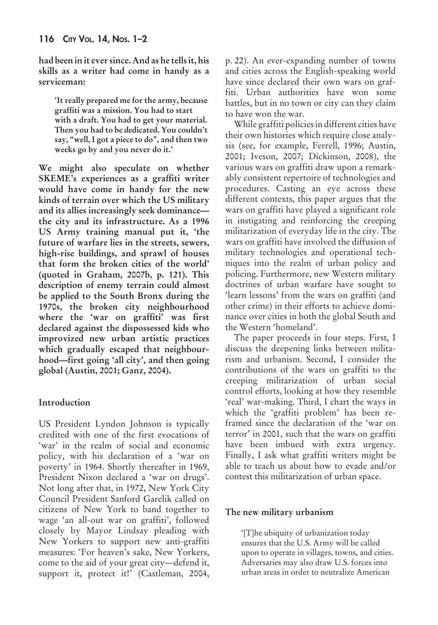**had been in it ever since. And as he tells it, his skills as a writer had come in handy as a serviceman:**

**'It really prepared me for the army, because graffiti was a mission. You had to start with a draft. You had to get your material. Then you had to be dedicated. You couldn't say, "well, I got a piece to do", and then two weeks go by and you never do it.'**

**We might also speculate on whether SKEME's experiences as a graffiti writer would have come in handy for the new kinds of terrain over which the US military and its allies increasingly seek dominance the city and its infrastructure. As a 1996 US Army training manual put it, 'the future of warfare lies in the streets, sewers, high-rise buildings, and sprawl of houses that form the broken cities of the world' (quoted in Graham, 2007b, p. 121). This description of enemy terrain could almost be applied to the South Bronx during the 1970s, the broken city neighbourhood where the 'war on graffiti' was first declared against the dispossessed kids who improvized new urban artistic practices which gradually escaped that neighbourhood—first going 'all city', and then going global (Austin, 2001; Ganz, 2004).**

#### **Introduction**

US President Lyndon Johnson is typically credited with one of the first evocations of 'war' in the realm of social and economic policy, with his declaration of a 'war on poverty' in 1964. Shortly thereafter in 1969, President Nixon declared a 'war on drugs'. Not long after that, in 1972, New York City Council President Sanford Garelik called on citizens of New York to band together to wage 'an all-out war on graffiti', followed closely by Mayor Lindsay pleading with New Yorkers to support new anti-graffiti measures: 'For heaven's sake, New Yorkers, come to the aid of your great city—defend it, support it, protect it!' (Castleman, 2004, p. 22). An ever-expanding number of towns and cities across the English-speaking world have since declared their own wars on graffiti. Urban authorities have won some battles, but in no town or city can they claim to have won the war.

While graffiti policies in different cities have their own histories which require close analysis (see, for example, Ferrell, 1996; Austin, 2001; Iveson, 2007; Dickinson, 2008), the various wars on graffiti draw upon a remarkably consistent repertoire of technologies and procedures. Casting an eye across these different contexts, this paper argues that the wars on graffiti have played a significant role in instigating and reinforcing the creeping militarization of everyday life in the city. The wars on graffiti have involved the diffusion of military technologies and operational techniques into the realm of urban policy and policing. Furthermore, new Western military doctrines of urban warfare have sought to 'learn lessons' from the wars on graffiti (and other crime) in their efforts to achieve dominance over cities in both the global South and the Western 'homeland'.

The paper proceeds in four steps. First, I discuss the deepening links between militarism and urbanism. Second, I consider the contributions of the wars on graffiti to the creeping militarization of urban social control efforts, looking at how they resemble 'real' war-making. Third, I chart the ways in which the 'graffiti problem' has been reframed since the declaration of the 'war on terror' in 2001, such that the wars on graffiti have been imbued with extra urgency. Finally, I ask what graffiti writers might be able to teach us about how to evade and/or contest this militarization of urban space.

#### **The new military urbanism**

'[T]he ubiquity of urbanization today ensures that the U.S. Army will be called upon to operate in villages, towns, and cities. Adversaries may also draw U.S. forces into urban areas in order to neutralize American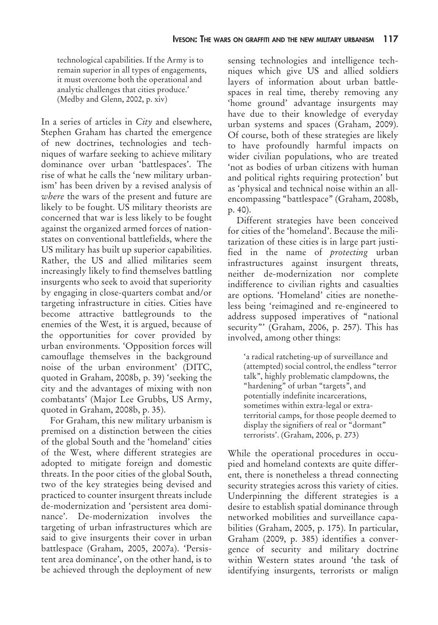technological capabilities. If the Army is to remain superior in all types of engagements, it must overcome both the operational and analytic challenges that cities produce.' (Medby and Glenn, 2002, p. xiv)

In a series of articles in *City* and elsewhere, Stephen Graham has charted the emergence of new doctrines, technologies and techniques of warfare seeking to achieve military dominance over urban 'battlespaces'. The rise of what he calls the 'new military urbanism' has been driven by a revised analysis of *where* the wars of the present and future are likely to be fought. US military theorists are concerned that war is less likely to be fought against the organized armed forces of nationstates on conventional battlefields, where the US military has built up superior capabilities. Rather, the US and allied militaries seem increasingly likely to find themselves battling insurgents who seek to avoid that superiority by engaging in close-quarters combat and/or targeting infrastructure in cities. Cities have become attractive battlegrounds to the enemies of the West, it is argued, because of the opportunities for cover provided by urban environments. 'Opposition forces will camouflage themselves in the background noise of the urban environment' (DITC, quoted in Graham, 2008b, p. 39) 'seeking the city and the advantages of mixing with non combatants' (Major Lee Grubbs, US Army, quoted in Graham, 2008b, p. 35).

For Graham, this new military urbanism is premised on a distinction between the cities of the global South and the 'homeland' cities of the West, where different strategies are adopted to mitigate foreign and domestic threats. In the poor cities of the global South, two of the key strategies being devised and practiced to counter insurgent threats include de-modernization and 'persistent area dominance'. De-modernization involves the targeting of urban infrastructures which are said to give insurgents their cover in urban battlespace (Graham, 2005, 2007a). 'Persistent area dominance', on the other hand, is to be achieved through the deployment of new sensing technologies and intelligence techniques which give US and allied soldiers layers of information about urban battlespaces in real time, thereby removing any 'home ground' advantage insurgents may have due to their knowledge of everyday urban systems and spaces (Graham, 2009). Of course, both of these strategies are likely to have profoundly harmful impacts on wider civilian populations, who are treated 'not as bodies of urban citizens with human and political rights requiring protection' but as 'physical and technical noise within an allencompassing "battlespace" (Graham, 2008b, p. 40).

Different strategies have been conceived for cities of the 'homeland'. Because the militarization of these cities is in large part justified in the name of *protecting* urban infrastructures against insurgent threats, neither de-modernization nor complete indifference to civilian rights and casualties are options. 'Homeland' cities are nonetheless being 'reimagined and re-engineered to address supposed imperatives of "national security"' (Graham, 2006, p. 257). This has involved, among other things:

'a radical ratcheting-up of surveillance and (attempted) social control, the endless "terror talk", highly problematic clampdowns, the "hardening" of urban "targets", and potentially indefinite incarcerations, sometimes within extra-legal or extraterritorial camps, for those people deemed to display the signifiers of real or "dormant" terrorists'. (Graham, 2006, p. 273)

While the operational procedures in occupied and homeland contexts are quite different, there is nonetheless a thread connecting security strategies across this variety of cities. Underpinning the different strategies is a desire to establish spatial dominance through networked mobilities and surveillance capabilities (Graham, 2005, p. 175). In particular, Graham (2009, p. 385) identifies a convergence of security and military doctrine within Western states around 'the task of identifying insurgents, terrorists or malign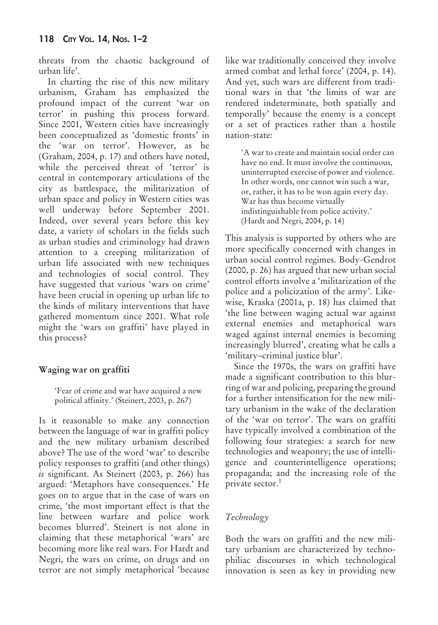threats from the chaotic background of urban life'.

In charting the rise of this new military urbanism, Graham has emphasized the profound impact of the current 'war on terror' in pushing this process forward. Since 2001, Western cities have increasingly been conceptualized as 'domestic fronts' in the 'war on terror'. However, as he (Graham, 2004, p. 17) and others have noted, while the perceived threat of 'terror' is central in contemporary articulations of the city as battlespace, the militarization of urban space and policy in Western cities was well underway before September 2001. Indeed, over several years before this key date, a variety of scholars in the fields such as urban studies and criminology had drawn attention to a creeping militarization of urban life associated with new techniques and technologies of social control. They have suggested that various 'wars on crime' have been crucial in opening up urban life to the kinds of military interventions that have gathered momentum since 2001. What role might the 'wars on graffiti' have played in this process?

#### **Waging war on graffiti**

'Fear of crime and war have acquired a new political affinity.' (Steinert, 2003, p. 267)

Is it reasonable to make any connection between the language of war in graffiti policy and the new military urbanism described above? The use of the word 'war' to describe policy responses to graffiti (and other things) *is* significant. As Steinert (2003, p. 266) has argued: 'Metaphors have consequences.' He goes on to argue that in the case of wars on crime, 'the most important effect is that the line between warfare and police work becomes blurred'. Steinert is not alone in claiming that these metaphorical 'wars' are becoming more like real wars. For Hardt and Negri, the wars on crime, on drugs and on terror are not simply metaphorical 'because like war traditionally conceived they involve armed combat and lethal force' (2004, p. 14). And yet, such wars are different from traditional wars in that 'the limits of war are rendered indeterminate, both spatially and temporally' because the enemy is a concept or a set of practices rather than a hostile nation-state:

'A war to create and maintain social order can have no end. It must involve the continuous, uninterrupted exercise of power and violence. In other words, one cannot win such a war, or, rather, it has to be won again every day. War has thus become virtually indistinguishable from police activity.' (Hardt and Negri, 2004, p. 14)

This analysis is supported by others who are more specifically concerned with changes in urban social control regimes. Body-Gendrot (2000, p. 26) has argued that new urban social control efforts involve a 'militarization of the police and a policization of the army'. Likewise, Kraska (2001a, p. 18) has claimed that 'the line between waging actual war against external enemies and metaphorical wars waged against internal enemies is becoming increasingly blurred', creating what he calls a 'military–criminal justice blur'.

Since the 1970s, the wars on graffiti have made a significant contribution to this blurring of war and policing, preparing the ground for a further intensification for the new military urbanism in the wake of the declaration of the 'war on terror'. The wars on graffiti have typically involved a combination of the following four strategies: a search for new technologies and weaponry; the use of intelligence and counterintelligence operations; propaganda; and the increasing role of the private sector.<sup>1</sup>

# *Technology*

Both the wars on graffiti and the new military urbanism are characterized by technophiliac discourses in which technological innovation is seen as key in providing new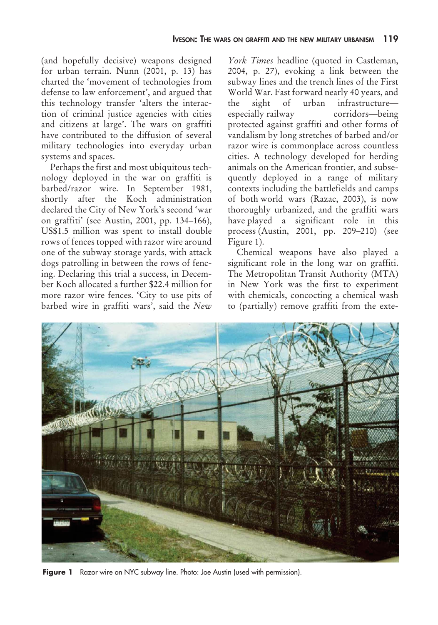(and hopefully decisive) weapons designed for urban terrain. Nunn (2001, p. 13) has charted the 'movement of technologies from defense to law enforcement', and argued that this technology transfer 'alters the interaction of criminal justice agencies with cities and citizens at large'. The wars on graffiti have contributed to the diffusion of several military technologies into everyday urban systems and spaces.

Perhaps the first and most ubiquitous technology deployed in the war on graffiti is barbed/razor wire. In September 1981, shortly after the Koch administration declared the City of New York's second 'war on graffiti' (see Austin, 2001, pp. 134–166), US\$1.5 million was spent to install double rows of fences topped with razor wire around one of the subway storage yards, with attack dogs patrolling in between the rows of fencing. Declaring this trial a success, in December Koch allocated a further \$22.4 million for more razor wire fences. 'City to use pits of barbed wire in graffiti wars', said the *New*

*York Times* headline (quoted in Castleman, 2004, p. 27), evoking a link between the subway lines and the trench lines of the First World War. Fast forward nearly 40 years, and the sight of urban infrastructure especially railway corridors—being protected against graffiti and other forms of vandalism by long stretches of barbed and/or razor wire is commonplace across countless cities. A technology developed for herding animals on the American frontier, and subsequently deployed in a range of military contexts including the battlefields and camps of both world wars (Razac, 2003), is now thoroughly urbanized, and the graffiti wars have played a significant role in this process (Austin, 2001, pp. 209–210) (see Figure 1).

Chemical weapons have also played a significant role in the long war on graffiti. The Metropolitan Transit Authority (MTA) in New York was the first to experiment with chemicals, concocting a chemical wash to (partially) remove graffiti from the exte-



**Figure 1** Razor wire on NYC subway line. Photo: Joe Austin (used with permission).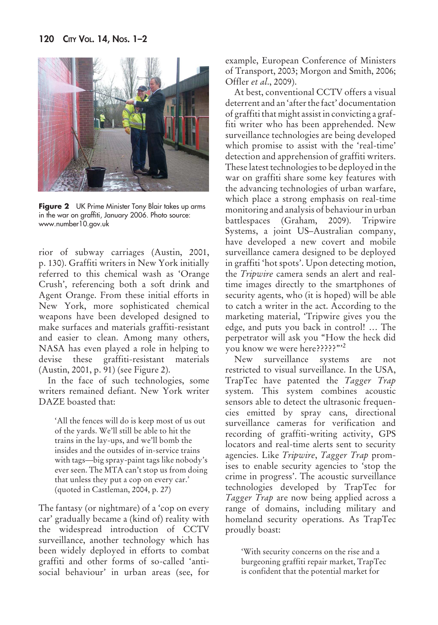

**Figure 2** UK Prime Minister Tony Blair takes up arms in the war on graffiti, January 2006. Photo source: www.number10.gov.uk

rior of subway carriages (Austin, 2001, p. 130). Graffiti writers in New York initially referred to this chemical wash as 'Orange Crush', referencing both a soft drink and Agent Orange. From these initial efforts in New York, more sophisticated chemical weapons have been developed designed to make surfaces and materials graffiti-resistant and easier to clean. Among many others, NASA has even played a role in helping to devise these graffiti-resistant materials (Austin, 2001, p. 91) (see Figure 2).

In the face of such technologies, some writers remained defiant. New York writer DAZE boasted that:

'All the fences will do is keep most of us out of the yards. We'll still be able to hit the trains in the lay-ups, and we'll bomb the insides and the outsides of in-service trains with tags—big spray-paint tags like nobody's ever seen. The MTA can't stop us from doing that unless they put a cop on every car.' (quoted in Castleman, 2004, p. 27)

The fantasy (or nightmare) of a 'cop on every car' gradually became a (kind of) reality with the widespread introduction of CCTV surveillance, another technology which has been widely deployed in efforts to combat graffiti and other forms of so-called 'antisocial behaviour' in urban areas (see, for example, European Conference of Ministers of Transport, 2003; Morgon and Smith, 2006; Offler *et al*., 2009).

At best, conventional CCTV offers a visual deterrent and an 'after the fact' documentation of graffiti that might assist in convicting a graffiti writer who has been apprehended. New surveillance technologies are being developed which promise to assist with the 'real-time' detection and apprehension of graffiti writers. These latest technologies to be deployed in the war on graffiti share some key features with the advancing technologies of urban warfare, which place a strong emphasis on real-time monitoring and analysis of behaviour in urban battlespaces (Graham, 2009). Tripwire Systems, a joint US–Australian company, have developed a new covert and mobile surveillance camera designed to be deployed in graffiti 'hot spots'. Upon detecting motion, the *Tripwire* camera sends an alert and realtime images directly to the smartphones of security agents, who (it is hoped) will be able to catch a writer in the act. According to the marketing material, 'Tripwire gives you the edge, and puts you back in control! … The perpetrator will ask you "How the heck did you know we were here?????"<sup>2</sup>

New surveillance systems are not restricted to visual surveillance. In the USA, TrapTec have patented the *Tagger Trap* system. This system combines acoustic sensors able to detect the ultrasonic frequencies emitted by spray cans, directional surveillance cameras for verification and recording of graffiti-writing activity, GPS locators and real-time alerts sent to security agencies. Like *Tripwire*, *Tagger Trap* promises to enable security agencies to 'stop the crime in progress'. The acoustic surveillance technologies developed by TrapTec for *Tagger Trap* are now being applied across a range of domains, including military and homeland security operations. As TrapTec proudly boast:

'With security concerns on the rise and a burgeoning graffiti repair market, TrapTec is confident that the potential market for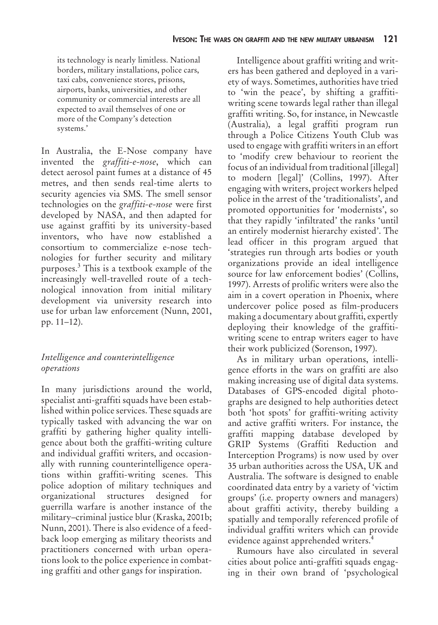its technology is nearly limitless. National borders, military installations, police cars, taxi cabs, convenience stores, prisons, airports, banks, universities, and other community or commercial interests are all expected to avail themselves of one or more of the Company's detection systems.'

In Australia, the E-Nose company have invented the *graffiti-e-nose*, which can detect aerosol paint fumes at a distance of 45 metres, and then sends real-time alerts to security agencies via SMS. The smell sensor technologies on the *graffiti-e-nose* were first developed by NASA, and then adapted for use against graffiti by its university-based inventors, who have now established a consortium to commercialize e-nose technologies for further security and military purposes.3 This is a textbook example of the increasingly well-travelled route of a technological innovation from initial military development via university research into use for urban law enforcement (Nunn, 2001, pp. 11–12).

# *Intelligence and counterintelligence operations*

In many jurisdictions around the world, specialist anti-graffiti squads have been established within police services. These squads are typically tasked with advancing the war on graffiti by gathering higher quality intelligence about both the graffiti-writing culture and individual graffiti writers, and occasionally with running counterintelligence operations within graffiti-writing scenes. This police adoption of military techniques and organizational structures designed for guerrilla warfare is another instance of the military–criminal justice blur (Kraska, 2001b; Nunn, 2001). There is also evidence of a feedback loop emerging as military theorists and practitioners concerned with urban operations look to the police experience in combating graffiti and other gangs for inspiration.

Intelligence about graffiti writing and writers has been gathered and deployed in a variety of ways. Sometimes, authorities have tried to 'win the peace', by shifting a graffitiwriting scene towards legal rather than illegal graffiti writing. So, for instance, in Newcastle (Australia), a legal graffiti program run through a Police Citizens Youth Club was used to engage with graffiti writers in an effort to 'modify crew behaviour to reorient the focus of an individual from traditional [illegal] to modern [legal]' (Collins, 1997). After engaging with writers, project workers helped police in the arrest of the 'traditionalists', and promoted opportunities for 'modernists', so that they rapidly 'infiltrated' the ranks 'until an entirely modernist hierarchy existed'. The lead officer in this program argued that 'strategies run through arts bodies or youth organizations provide an ideal intelligence source for law enforcement bodies' (Collins, 1997). Arrests of prolific writers were also the aim in a covert operation in Phoenix, where undercover police posed as film-producers making a documentary about graffiti, expertly deploying their knowledge of the graffitiwriting scene to entrap writers eager to have their work publicized (Sorenson, 1997).

As in military urban operations, intelligence efforts in the wars on graffiti are also making increasing use of digital data systems. Databases of GPS-encoded digital photographs are designed to help authorities detect both 'hot spots' for graffiti-writing activity and active graffiti writers. For instance, the graffiti mapping database developed by GRIP Systems (Graffiti Reduction and Interception Programs) is now used by over 35 urban authorities across the USA, UK and Australia. The software is designed to enable coordinated data entry by a variety of 'victim groups' (i.e. property owners and managers) about graffiti activity, thereby building a spatially and temporally referenced profile of individual graffiti writers which can provide evidence against apprehended writers.<sup>4</sup>

Rumours have also circulated in several cities about police anti-graffiti squads engaging in their own brand of 'psychological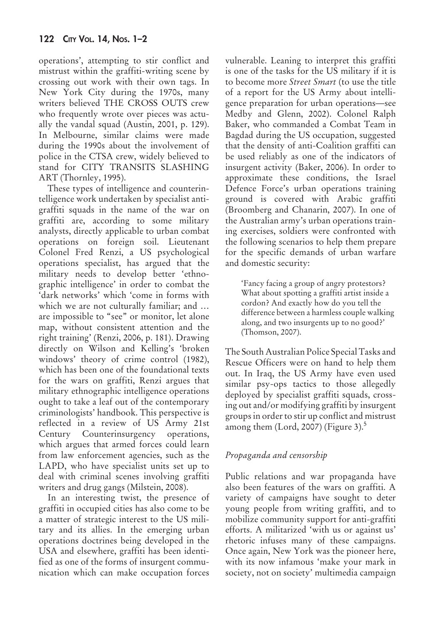operations', attempting to stir conflict and mistrust within the graffiti-writing scene by crossing out work with their own tags. In New York City during the 1970s, many writers believed THE CROSS OUTS crew who frequently wrote over pieces was actually the vandal squad (Austin, 2001, p. 129). In Melbourne, similar claims were made during the 1990s about the involvement of police in the CTSA crew, widely believed to stand for CITY TRANSITS SLASHING ART (Thornley, 1995).

These types of intelligence and counterintelligence work undertaken by specialist antigraffiti squads in the name of the war on graffiti are, according to some military analysts, directly applicable to urban combat operations on foreign soil. Lieutenant Colonel Fred Renzi, a US psychological operations specialist, has argued that the military needs to develop better 'ethnographic intelligence' in order to combat the 'dark networks' which 'come in forms with which we are not culturally familiar; and … are impossible to "see" or monitor, let alone map, without consistent attention and the right training' (Renzi, 2006, p. 181). Drawing directly on Wilson and Kelling's 'broken windows' theory of crime control (1982), which has been one of the foundational texts for the wars on graffiti, Renzi argues that military ethnographic intelligence operations ought to take a leaf out of the contemporary criminologists' handbook. This perspective is reflected in a review of US Army 21st Century Counterinsurgency operations, which argues that armed forces could learn from law enforcement agencies, such as the LAPD, who have specialist units set up to deal with criminal scenes involving graffiti writers and drug gangs (Milstein, 2008).

In an interesting twist, the presence of graffiti in occupied cities has also come to be a matter of strategic interest to the US military and its allies. In the emerging urban operations doctrines being developed in the USA and elsewhere, graffiti has been identified as one of the forms of insurgent communication which can make occupation forces vulnerable. Leaning to interpret this graffiti is one of the tasks for the US military if it is to become more *Street Smart* (to use the title of a report for the US Army about intelligence preparation for urban operations—see Medby and Glenn, 2002). Colonel Ralph Baker, who commanded a Combat Team in Bagdad during the US occupation, suggested that the density of anti-Coalition graffiti can be used reliably as one of the indicators of insurgent activity (Baker, 2006). In order to approximate these conditions, the Israel Defence Force's urban operations training ground is covered with Arabic graffiti (Broomberg and Chanarin, 2007). In one of the Australian army's urban operations training exercises, soldiers were confronted with the following scenarios to help them prepare for the specific demands of urban warfare and domestic security:

'Fancy facing a group of angry protestors? What about spotting a graffiti artist inside a cordon? And exactly how do you tell the difference between a harmless couple walking along, and two insurgents up to no good?' (Thomson, 2007).

The South Australian Police Special Tasks and Rescue Officers were on hand to help them out. In Iraq, the US Army have even used similar psy-ops tactics to those allegedly deployed by specialist graffiti squads, crossing out and/or modifying graffiti by insurgent groups in order to stir up conflict and mistrust among them (Lord, 2007) (Figure 3). $5$ 

# *Propaganda and censorship*

Public relations and war propaganda have also been features of the wars on graffiti. A variety of campaigns have sought to deter young people from writing graffiti, and to mobilize community support for anti-graffiti efforts. A militarized 'with us or against us' rhetoric infuses many of these campaigns. Once again, New York was the pioneer here, with its now infamous 'make your mark in society, not on society' multimedia campaign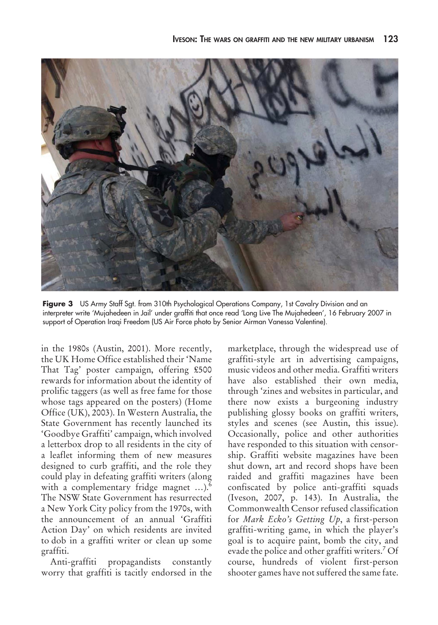

**Figure 3** US Army Staff Sat. from 310th Psychological Operations Company, 1st Cavalry Division and an interpreter write 'Mujahedeen in Jail' under graffiti that once read 'Long Live The Mujahedeen', 16 February 2007 in support of Operation Iraqi Freedom (US Air Force photo by Senior Airman Vanessa Valentine).

in the 1980s (Austin, 2001). More recently, the UK Home Office established their 'Name That Tag' poster campaign, offering £500 rewards for information about the identity of prolific taggers (as well as free fame for those whose tags appeared on the posters) (Home Office (UK), 2003). In Western Australia, the State Government has recently launched its 'Goodbye Graffiti' campaign, which involved a letterbox drop to all residents in the city of a leaflet informing them of new measures designed to curb graffiti, and the role they could play in defeating graffiti writers (along with a complementary fridge magnet ...).<sup>6</sup> The NSW State Government has resurrected a New York City policy from the 1970s, with the announcement of an annual 'Graffiti Action Day' on which residents are invited to dob in a graffiti writer or clean up some graffiti.

Anti-graffiti propagandists constantly worry that graffiti is tacitly endorsed in the marketplace, through the widespread use of graffiti-style art in advertising campaigns, music videos and other media. Graffiti writers have also established their own media, through 'zines and websites in particular, and there now exists a burgeoning industry publishing glossy books on graffiti writers, styles and scenes (see Austin, this issue). Occasionally, police and other authorities have responded to this situation with censorship. Graffiti website magazines have been shut down, art and record shops have been raided and graffiti magazines have been confiscated by police anti-graffiti squads (Iveson, 2007, p. 143). In Australia, the Commonwealth Censor refused classification for *Mark Ecko's Getting Up*, a first-person graffiti-writing game, in which the player's goal is to acquire paint, bomb the city, and evade the police and other graffiti writers.7 Of course, hundreds of violent first-person shooter games have not suffered the same fate.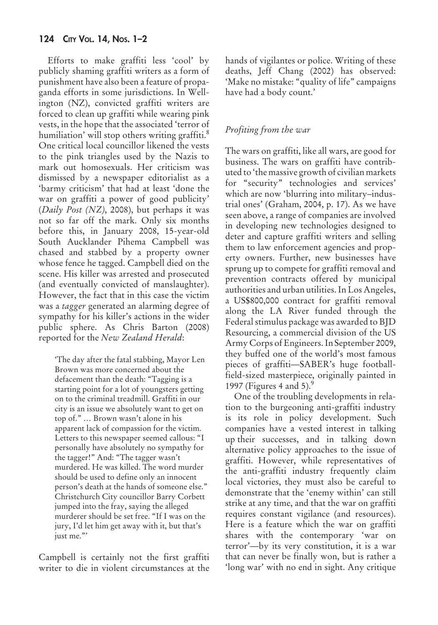Efforts to make graffiti less 'cool' by publicly shaming graffiti writers as a form of punishment have also been a feature of propaganda efforts in some jurisdictions. In Wellington (NZ), convicted graffiti writers are forced to clean up graffiti while wearing pink vests, in the hope that the associated 'terror of humiliation' will stop others writing graffiti.<sup>8</sup> One critical local councillor likened the vests to the pink triangles used by the Nazis to mark out homosexuals. Her criticism was dismissed by a newspaper editorialist as a 'barmy criticism' that had at least 'done the war on graffiti a power of good publicity' (*Daily Post (NZ)*, 2008), but perhaps it was not so far off the mark. Only six months before this, in January 2008, 15-year-old South Aucklander Pihema Campbell was chased and stabbed by a property owner whose fence he tagged. Campbell died on the scene. His killer was arrested and prosecuted (and eventually convicted of manslaughter). However, the fact that in this case the victim was a *tagger* generated an alarming degree of sympathy for his killer's actions in the wider public sphere. As Chris Barton (2008) reported for the *New Zealand Herald*:

'The day after the fatal stabbing, Mayor Len Brown was more concerned about the defacement than the death: "Tagging is a starting point for a lot of youngsters getting on to the criminal treadmill. Graffiti in our city is an issue we absolutely want to get on top of." … Brown wasn't alone in his apparent lack of compassion for the victim. Letters to this newspaper seemed callous: "I personally have absolutely no sympathy for the tagger!" And: "The tagger wasn't murdered. He was killed. The word murder should be used to define only an innocent person's death at the hands of someone else." Christchurch City councillor Barry Corbett jumped into the fray, saying the alleged murderer should be set free. "If I was on the jury, I'd let him get away with it, but that's just me."

Campbell is certainly not the first graffiti writer to die in violent circumstances at the hands of vigilantes or police. Writing of these deaths, Jeff Chang (2002) has observed: 'Make no mistake: "quality of life" campaigns have had a body count.'

### *Profiting from the war*

The wars on graffiti, like all wars, are good for business. The wars on graffiti have contributed to 'the massive growth of civilian markets for "security" technologies and services' which are now 'blurring into military–industrial ones' (Graham, 2004, p. 17). As we have seen above, a range of companies are involved in developing new technologies designed to deter and capture graffiti writers and selling them to law enforcement agencies and property owners. Further, new businesses have sprung up to compete for graffiti removal and prevention contracts offered by municipal authorities and urban utilities. In Los Angeles, a US\$800,000 contract for graffiti removal along the LA River funded through the Federal stimulus package was awarded to BJD Resourcing, a commercial division of the US Army Corps of Engineers. In September 2009, they buffed one of the world's most famous pieces of graffiti—SABER's huge footballfield-sized masterpiece, originally painted in 1997 (Figures 4 and 5).9

One of the troubling developments in relation to the burgeoning anti-graffiti industry is its role in policy development. Such companies have a vested interest in talking up their successes, and in talking down alternative policy approaches to the issue of graffiti. However, while representatives of the anti-graffiti industry frequently claim local victories, they must also be careful to demonstrate that the 'enemy within' can still strike at any time, and that the war on graffiti requires constant vigilance (and resources). Here is a feature which the war on graffiti shares with the contemporary 'war on terror'—by its very constitution, it is a war that can never be finally won, but is rather a 'long war' with no end in sight. Any critique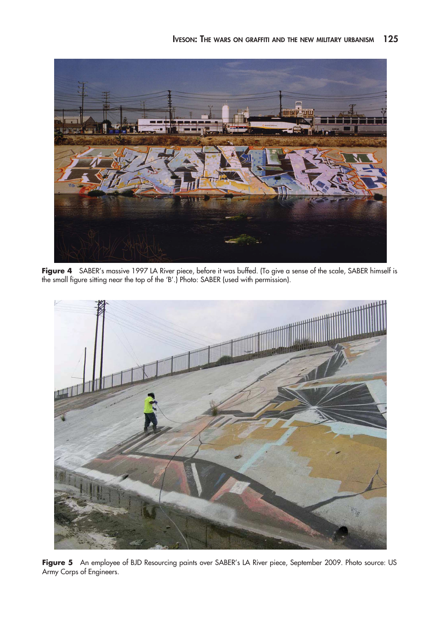

Figure 4 SABER's massive 1997 LA River piece, before it was buffed. (To give a sense of the scale, SABER himself is the small figure sitting near the top of the 'B'.) Photo: SABER (used with permission).



Figure 5 An employee of BJD Resourcing paints over SABER's LA River piece, September 2009. Photo source: US Army Corps of Engineers.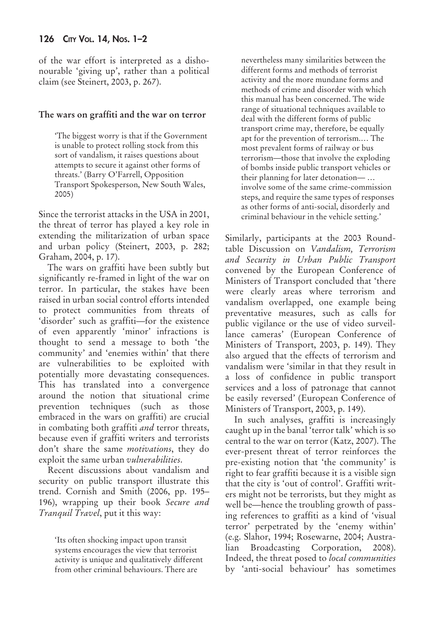of the war effort is interpreted as a dishonourable 'giving up', rather than a political claim (see Steinert, 2003, p. 267).

#### **The wars on graffiti and the war on terror**

'The biggest worry is that if the Government is unable to protect rolling stock from this sort of vandalism, it raises questions about attempts to secure it against other forms of threats.' (Barry O'Farrell, Opposition Transport Spokesperson, New South Wales, 2005)

Since the terrorist attacks in the USA in 2001, the threat of terror has played a key role in extending the militarization of urban space and urban policy (Steinert, 2003, p. 282; Graham, 2004, p. 17).

The wars on graffiti have been subtly but significantly re-framed in light of the war on terror. In particular, the stakes have been raised in urban social control efforts intended to protect communities from threats of 'disorder' such as graffiti—for the existence of even apparently 'minor' infractions is thought to send a message to both 'the community' and 'enemies within' that there are vulnerabilities to be exploited with potentially more devastating consequences. This has translated into a convergence around the notion that situational crime prevention techniques (such as those embraced in the wars on graffiti) are crucial in combating both graffiti *and* terror threats, because even if graffiti writers and terrorists don't share the same *motivations*, they do exploit the same urban *vulnerabilities*.

Recent discussions about vandalism and security on public transport illustrate this trend. Cornish and Smith (2006, pp. 195– 196), wrapping up their book *Secure and Tranquil Travel*, put it this way:

'Its often shocking impact upon transit systems encourages the view that terrorist activity is unique and qualitatively different from other criminal behaviours. There are

nevertheless many similarities between the different forms and methods of terrorist activity and the more mundane forms and methods of crime and disorder with which this manual has been concerned. The wide range of situational techniques available to deal with the different forms of public transport crime may, therefore, be equally apt for the prevention of terrorism.… The most prevalent forms of railway or bus terrorism—those that involve the exploding of bombs inside public transport vehicles or their planning for later detonation— … involve some of the same crime-commission steps, and require the same types of responses as other forms of anti-social, disorderly and criminal behaviour in the vehicle setting.'

Similarly, participants at the 2003 Roundtable Discussion on *Vandalism, Terrorism and Security in Urban Public Transport* convened by the European Conference of Ministers of Transport concluded that 'there were clearly areas where terrorism and vandalism overlapped, one example being preventative measures, such as calls for public vigilance or the use of video surveillance cameras' (European Conference of Ministers of Transport, 2003, p. 149). They also argued that the effects of terrorism and vandalism were 'similar in that they result in a loss of confidence in public transport services and a loss of patronage that cannot be easily reversed' (European Conference of Ministers of Transport, 2003, p. 149).

In such analyses, graffiti is increasingly caught up in the banal 'terror talk' which is so central to the war on terror (Katz, 2007). The ever-present threat of terror reinforces the pre-existing notion that 'the community' is right to fear graffiti because it is a visible sign that the city is 'out of control'. Graffiti writers might not be terrorists, but they might as well be—hence the troubling growth of passing references to graffiti as a kind of 'visual terror' perpetrated by the 'enemy within' (e.g. Slahor, 1994; Rosewarne, 2004; Australian Broadcasting Corporation, 2008). Indeed, the threat posed to *local communities* by 'anti-social behaviour' has sometimes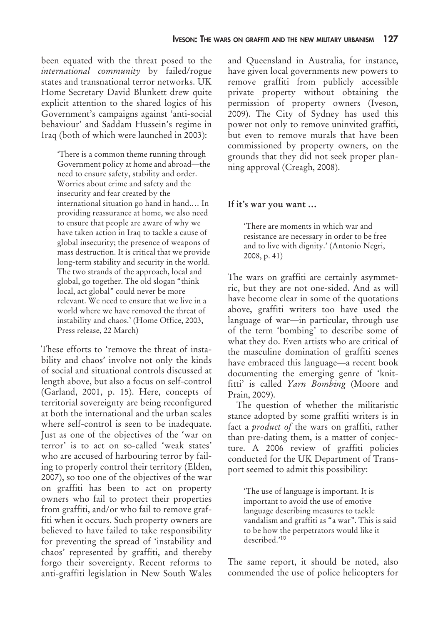been equated with the threat posed to the *international community* by failed/rogue states and transnational terror networks. UK Home Secretary David Blunkett drew quite explicit attention to the shared logics of his Government's campaigns against 'anti-social behaviour' and Saddam Hussein's regime in Iraq (both of which were launched in 2003):

'There is a common theme running through Government policy at home and abroad—the need to ensure safety, stability and order. Worries about crime and safety and the insecurity and fear created by the international situation go hand in hand.… In providing reassurance at home, we also need to ensure that people are aware of why we have taken action in Iraq to tackle a cause of global insecurity; the presence of weapons of mass destruction. It is critical that we provide long-term stability and security in the world. The two strands of the approach, local and global, go together. The old slogan "think local, act global" could never be more relevant. We need to ensure that we live in a world where we have removed the threat of instability and chaos.' (Home Office, 2003, Press release, 22 March)

These efforts to 'remove the threat of instability and chaos' involve not only the kinds of social and situational controls discussed at length above, but also a focus on self-control (Garland, 2001, p. 15). Here, concepts of territorial sovereignty are being reconfigured at both the international and the urban scales where self-control is seen to be inadequate. Just as one of the objectives of the 'war on terror' is to act on so-called 'weak states' who are accused of harbouring terror by failing to properly control their territory (Elden, 2007), so too one of the objectives of the war on graffiti has been to act on property owners who fail to protect their properties from graffiti, and/or who fail to remove graffiti when it occurs. Such property owners are believed to have failed to take responsibility for preventing the spread of 'instability and chaos' represented by graffiti, and thereby forgo their sovereignty. Recent reforms to anti-graffiti legislation in New South Wales and Queensland in Australia, for instance, have given local governments new powers to remove graffiti from publicly accessible private property without obtaining the permission of property owners (Iveson, 2009). The City of Sydney has used this power not only to remove uninvited graffiti, but even to remove murals that have been commissioned by property owners, on the grounds that they did not seek proper planning approval (Creagh, 2008).

#### **If it's war you want …**

'There are moments in which war and resistance are necessary in order to be free and to live with dignity.' (Antonio Negri, 2008, p. 41)

The wars on graffiti are certainly asymmetric, but they are not one-sided. And as will have become clear in some of the quotations above, graffiti writers too have used the language of war—in particular, through use of the term 'bombing' to describe some of what they do. Even artists who are critical of the masculine domination of graffiti scenes have embraced this language—a recent book documenting the emerging genre of 'knitfitti' is called *Yarn Bombing* (Moore and Prain, 2009).

The question of whether the militaristic stance adopted by some graffiti writers is in fact a *product of* the wars on graffiti, rather than pre-dating them, is a matter of conjecture. A 2006 review of graffiti policies conducted for the UK Department of Transport seemed to admit this possibility:

'The use of language is important. It is important to avoid the use of emotive language describing measures to tackle vandalism and graffiti as "a war". This is said to be how the perpetrators would like it described.'10

The same report, it should be noted, also commended the use of police helicopters for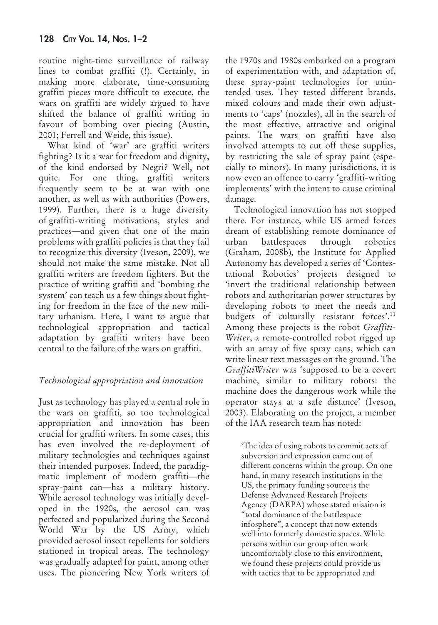routine night-time surveillance of railway lines to combat graffiti (!). Certainly, in making more elaborate, time-consuming graffiti pieces more difficult to execute, the wars on graffiti are widely argued to have shifted the balance of graffiti writing in favour of bombing over piecing (Austin, 2001; Ferrell and Weide, this issue).

What kind of 'war' are graffiti writers fighting? Is it a war for freedom and dignity, of the kind endorsed by Negri? Well, not quite. For one thing, graffiti writers frequently seem to be at war with one another, as well as with authorities (Powers, 1999). Further, there is a huge diversity of graffiti-writing motivations, styles and practices—and given that one of the main problems with graffiti policies is that they fail to recognize this diversity (Iveson, 2009), we should not make the same mistake. Not all graffiti writers are freedom fighters. But the practice of writing graffiti and 'bombing the system' can teach us a few things about fighting for freedom in the face of the new military urbanism. Here, I want to argue that technological appropriation and tactical adaptation by graffiti writers have been central to the failure of the wars on graffiti.

# *Technological appropriation and innovation*

Just as technology has played a central role in the wars on graffiti, so too technological appropriation and innovation has been crucial for graffiti writers. In some cases, this has even involved the re-deployment of military technologies and techniques against their intended purposes. Indeed, the paradigmatic implement of modern graffiti—the spray-paint can—has a military history. While aerosol technology was initially developed in the 1920s, the aerosol can was perfected and popularized during the Second World War by the US Army, which provided aerosol insect repellents for soldiers stationed in tropical areas. The technology was gradually adapted for paint, among other uses. The pioneering New York writers of the 1970s and 1980s embarked on a program of experimentation with, and adaptation of, these spray-paint technologies for unintended uses. They tested different brands, mixed colours and made their own adjustments to 'caps' (nozzles), all in the search of the most effective, attractive and original paints. The wars on graffiti have also involved attempts to cut off these supplies, by restricting the sale of spray paint (especially to minors). In many jurisdictions, it is now even an offence to carry 'graffiti-writing implements' with the intent to cause criminal damage.

Technological innovation has not stopped there. For instance, while US armed forces dream of establishing remote dominance of urban battlespaces through robotics (Graham, 2008b), the Institute for Applied Autonomy has developed a series of 'Contestational Robotics' projects designed to 'invert the traditional relationship between robots and authoritarian power structures by developing robots to meet the needs and budgets of culturally resistant forces'.<sup>11</sup> Among these projects is the robot *Graffiti-Writer*, a remote-controlled robot rigged up with an array of five spray cans, which can write linear text messages on the ground. The *GraffitiWriter* was 'supposed to be a covert machine, similar to military robots: the machine does the dangerous work while the operator stays at a safe distance' (Iveson, 2003). Elaborating on the project, a member of the IAA research team has noted:

'The idea of using robots to commit acts of subversion and expression came out of different concerns within the group. On one hand, in many research institutions in the US, the primary funding source is the Defense Advanced Research Projects Agency (DARPA) whose stated mission is "total dominance of the battlespace infosphere", a concept that now extends well into formerly domestic spaces. While persons within our group often work uncomfortably close to this environment, we found these projects could provide us with tactics that to be appropriated and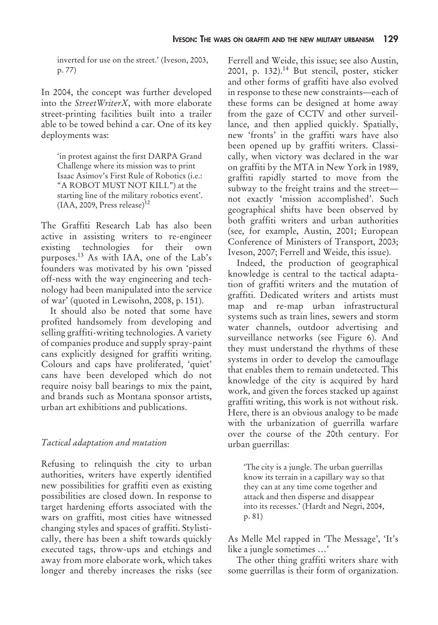inverted for use on the street.' (Iveson, 2003, p. 77)

In 2004, the concept was further developed into the *StreetWriterX*, with more elaborate street-printing facilities built into a trailer able to be towed behind a car. One of its key deployments was:

'in protest against the first DARPA Grand Challenge where its mission was to print Isaac Asimov's First Rule of Robotics (i.e.: "A ROBOT MUST NOT KILL") at the starting line of the military robotics event'.  $(IAA, 2009, Press release)^{12}$ 

The Graffiti Research Lab has also been active in assisting writers to re-engineer existing technologies for their own purposes.13 As with IAA, one of the Lab's founders was motivated by his own 'pissed off-ness with the way engineering and technology had been manipulated into the service of war' (quoted in Lewisohn, 2008, p. 151).

It should also be noted that some have profited handsomely from developing and selling graffiti-writing technologies. A variety of companies produce and supply spray-paint cans explicitly designed for graffiti writing. Colours and caps have proliferated, 'quiet' cans have been developed which do not require noisy ball bearings to mix the paint, and brands such as Montana sponsor artists, urban art exhibitions and publications.

#### *Tactical adaptation and mutation*

Refusing to relinquish the city to urban authorities, writers have expertly identified new possibilities for graffiti even as existing possibilities are closed down. In response to target hardening efforts associated with the wars on graffiti, most cities have witnessed changing styles and spaces of graffiti. Stylistically, there has been a shift towards quickly executed tags, throw-ups and etchings and away from more elaborate work, which takes longer and thereby increases the risks (see Ferrell and Weide, this issue; see also Austin, 2001, p.  $132$ ).<sup>14</sup> But stencil, poster, sticker and other forms of graffiti have also evolved in response to these new constraints—each of these forms can be designed at home away from the gaze of CCTV and other surveillance, and then applied quickly. Spatially, new 'fronts' in the graffiti wars have also been opened up by graffiti writers. Classically, when victory was declared in the war on graffiti by the MTA in New York in 1989, graffiti rapidly started to move from the subway to the freight trains and the street not exactly 'mission accomplished'. Such geographical shifts have been observed by both graffiti writers and urban authorities (see, for example, Austin, 2001; European Conference of Ministers of Transport, 2003; Iveson, 2007; Ferrell and Weide, this issue).

Indeed, the production of geographical knowledge is central to the tactical adaptation of graffiti writers and the mutation of graffiti. Dedicated writers and artists must map and re-map urban infrastructural systems such as train lines, sewers and storm water channels, outdoor advertising and surveillance networks (see Figure 6). And they must understand the rhythms of these systems in order to develop the camouflage that enables them to remain undetected. This knowledge of the city is acquired by hard work, and given the forces stacked up against graffiti writing, this work is not without risk. Here, there is an obvious analogy to be made with the urbanization of guerrilla warfare over the course of the 20th century. For urban guerrillas:

'The city is a jungle. The urban guerrillas know its terrain in a capillary way so that they can at any time come together and attack and then disperse and disappear into its recesses.' (Hardt and Negri, 2004, p. 81)

As Melle Mel rapped in 'The Message', 'It's like a jungle sometimes …'

The other thing graffiti writers share with some guerrillas is their form of organization.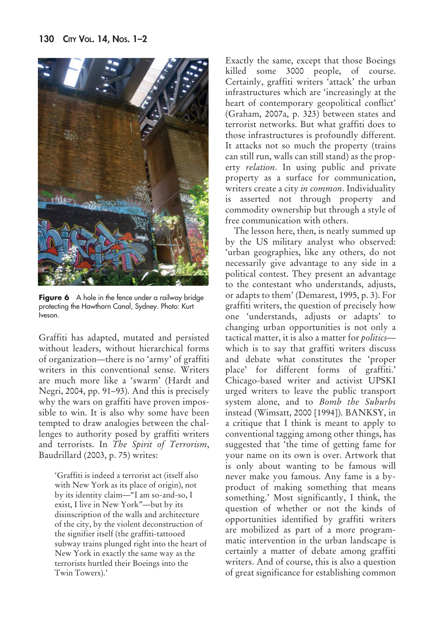

**Figure 6** A hole in the fence under a railway bridge protecting the Hawthorn Canal, Sydney. Photo: Kurt Iveson.

Graffiti has adapted, mutated and persisted without leaders, without hierarchical forms of organization—there is no 'army' of graffiti writers in this conventional sense. Writers are much more like a 'swarm' (Hardt and Negri, 2004, pp. 91–93). And this is precisely why the wars on graffiti have proven impossible to win. It is also why some have been tempted to draw analogies between the challenges to authority posed by graffiti writers and terrorists. In *The Spirit of Terrorism*, Baudrillard (2003, p. 75) writes:

'Graffiti is indeed a terrorist act (itself also with New York as its place of origin), not by its identity claim—"I am so-and-so, I exist, I live in New York"—but by its disinscription of the walls and architecture of the city, by the violent deconstruction of the signifier itself (the graffiti-tattooed subway trains plunged right into the heart of New York in exactly the same way as the terrorists hurtled their Boeings into the Twin Towers).'

Exactly the same, except that those Boeings killed some 3000 people, of course. Certainly, graffiti writers 'attack' the urban infrastructures which are 'increasingly at the heart of contemporary geopolitical conflict' (Graham, 2007a, p. 323) between states and terrorist networks. But what graffiti does to those infrastructures is profoundly different. It attacks not so much the property (trains can still run, walls can still stand) as the property *relation*. In using public and private property as a surface for communication, writers create a city *in common*. Individuality is asserted not through property and commodity ownership but through a style of free communication with others.

The lesson here, then, is neatly summed up by the US military analyst who observed: 'urban geographies, like any others, do not necessarily give advantage to any side in a political contest. They present an advantage to the contestant who understands, adjusts, or adapts to them' (Demarest, 1995, p. 3). For graffiti writers, the question of precisely how one 'understands, adjusts or adapts' to changing urban opportunities is not only a tactical matter, it is also a matter for *politics* which is to say that graffiti writers discuss and debate what constitutes the 'proper place' for different forms of graffiti.' Chicago-based writer and activist UPSKI urged writers to leave the public transport system alone, and to *Bomb the Suburbs* instead (Wimsatt, 2000 [1994]). BANKSY, in a critique that I think is meant to apply to conventional tagging among other things, has suggested that 'the time of getting fame for your name on its own is over. Artwork that is only about wanting to be famous will never make you famous. Any fame is a byproduct of making something that means something.' Most significantly, I think, the question of whether or not the kinds of opportunities identified by graffiti writers are mobilized as part of a more programmatic intervention in the urban landscape is certainly a matter of debate among graffiti writers. And of course, this is also a question of great significance for establishing common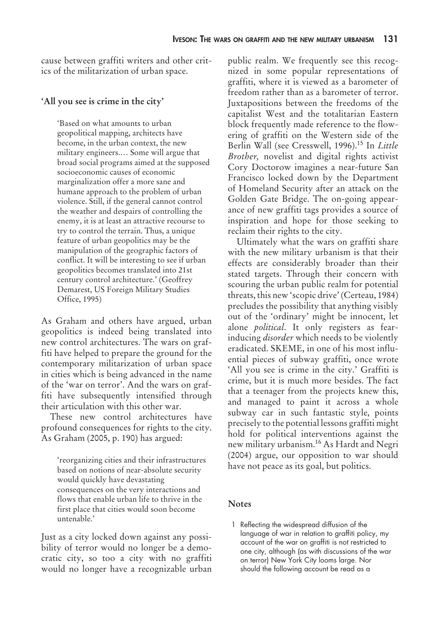cause between graffiti writers and other critics of the militarization of urban space.

#### **'All you see is crime in the city'**

'Based on what amounts to urban geopolitical mapping, architects have become, in the urban context, the new military engineers.… Some will argue that broad social programs aimed at the supposed socioeconomic causes of economic marginalization offer a more sane and humane approach to the problem of urban violence. Still, if the general cannot control the weather and despairs of controlling the enemy, it is at least an attractive recourse to try to control the terrain. Thus, a unique feature of urban geopolitics may be the manipulation of the geographic factors of conflict. It will be interesting to see if urban geopolitics becomes translated into 21st century control architecture.' (Geoffrey Demarest, US Foreign Military Studies Office, 1995)

As Graham and others have argued, urban geopolitics is indeed being translated into new control architectures. The wars on graffiti have helped to prepare the ground for the contemporary militarization of urban space in cities which is being advanced in the name of the 'war on terror'. And the wars on graffiti have subsequently intensified through their articulation with this other war.

These new control architectures have profound consequences for rights to the city. As Graham (2005, p. 190) has argued:

'reorganizing cities and their infrastructures based on notions of near-absolute security would quickly have devastating consequences on the very interactions and flows that enable urban life to thrive in the first place that cities would soon become untenable.'

Just as a city locked down against any possibility of terror would no longer be a democratic city, so too a city with no graffiti would no longer have a recognizable urban public realm. We frequently see this recognized in some popular representations of graffiti, where it is viewed as a barometer of freedom rather than as a barometer of terror. Juxtapositions between the freedoms of the capitalist West and the totalitarian Eastern block frequently made reference to the flowering of graffiti on the Western side of the Berlin Wall (see Cresswell, 1996).<sup>15</sup> In *Little Brother,* novelist and digital rights activist Cory Doctorow imagines a near-future San Francisco locked down by the Department of Homeland Security after an attack on the Golden Gate Bridge. The on-going appearance of new graffiti tags provides a source of inspiration and hope for those seeking to reclaim their rights to the city.

Ultimately what the wars on graffiti share with the new military urbanism is that their effects are considerably broader than their stated targets. Through their concern with scouring the urban public realm for potential threats, this new 'scopic drive' (Certeau, 1984) precludes the possibility that anything visibly out of the 'ordinary' might be innocent, let alone *political*. It only registers as fearinducing *disorder* which needs to be violently eradicated. SKEME, in one of his most influential pieces of subway graffiti, once wrote 'All you see is crime in the city.' Graffiti is crime, but it is much more besides. The fact that a teenager from the projects knew this, and managed to paint it across a whole subway car in such fantastic style, points precisely to the potential lessons graffiti might hold for political interventions against the new military urbanism.16 As Hardt and Negri (2004) argue, our opposition to war should have not peace as its goal, but politics.

#### **Notes**

<sup>1</sup>1 Reflecting the widespread diffusion of the language of war in relation to graffiti policy, my account of the war on graffiti is not restricted to one city, although (as with discussions of the war on terror) New York City looms large. Nor should the following account be read as a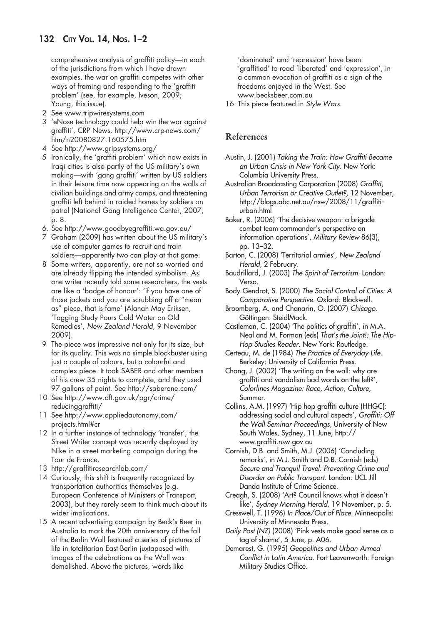comprehensive analysis of graffiti policy—in each of the jurisdictions from which I have drawn examples, the war on graffiti competes with other ways of framing and responding to the 'graffiti problem' (see, for example, Iveson, 2009; Young, this issue).

- <sup>2</sup>2 See www.tripwiresystems.com
- <sup>3</sup>3 'eNose technology could help win the war against graffiti', CRP News, http://www.crp-news.com/ htm/n20080827.160575.htm
- <sup>4</sup>4 See http://www.gripsystems.org/
- <sup>5</sup>5 Ironically, the 'graffiti problem' which now exists in Iraqi cities is also partly of the US military's own making—with 'gang graffiti' written by US soldiers in their leisure time now appearing on the walls of civilian buildings and army camps, and threatening graffiti left behind in raided homes by soldiers on patrol (National Gang Intelligence Center, 2007, p. 8.
- <sup>6</sup>6. See http://www.goodbyegraffiti.wa.gov.au/
- <sup>7</sup>7 Graham (2009) has written about the US military's use of computer games to recruit and train soldiers—apparently two can play at that game.
- <sup>8</sup>8 Some writers, apparently, are not so worried and are already flipping the intended symbolism. As one writer recently told some researchers, the vests are like a 'badge of honour': 'if you have one of those jackets and you are scrubbing off a "mean as" piece, that is fame' (Alanah May Eriksen, 'Tagging Study Pours Cold Water on Old Remedies', *New Zealand Herald*, 9 November 2009).
- 9 The piece was impressive not only for its size, but for its quality. This was no simple blockbuster using just a couple of colours, but a colourful and complex piece. It took SABER and other members of his crew 35 nights to complete, and they used 97 gallons of paint. See http://saberone.com/
- <sup>10</sup>10 See http://www.dft.gov.uk/pgr/crime/ reducinggraffiti/
- 11 See http://www.appliedautonomy.com/ projects.html#cr
- 12 In a further instance of technology 'transfer', the Street Writer concept was recently deployed by Nike in a street marketing campaign during the Tour de France.
- <sup>13</sup>13 http://graffitiresearchlab.com/
- 14 Curiously, this shift is frequently recognized by transportation authorities themselves (e.g. European Conference of Ministers of Transport, 2003), but they rarely seem to think much about its wider implications.
- 15 A recent advertising campaign by Beck's Beer in Australia to mark the 20th anniversary of the fall of the Berlin Wall featured a series of pictures of life in totalitarian East Berlin juxtaposed with images of the celebrations as the Wall was demolished. Above the pictures, words like

'dominated' and 'repression' have been 'graffitied' to read 'liberated' and 'expression', in a common evocation of graffiti as a sign of the freedoms enjoyed in the West. See www.becksbeer.com.au

16 This piece featured in *Style Wars*.

#### **References**

Austin, J. (2001) *Taking the Train: How Graffiti Became an Urban Crisis in New York City.* New York: Columbia University Press.

Australian Broadcasting Corporation (2008) *Graffiti, Urban Terrorism or Creative Outlet?,* 12 November, http://blogs.abc.net.au/nsw/2008/11/graffitiurban.html

Baker, R. (2006) 'The decisive weapon: a brigade combat team commander's perspective on information operations', *Military Review* 86(3), pp. 13–32.

- Barton, C. (2008) 'Territorial armies', *New Zealand Herald,* 2 February.
- Baudrillard, J. (2003) *The Spirit of Terrorism.* London: Verso.
- Body-Gendrot, S. (2000) *The Social Control of Cities: A Comparative Perspective.* Oxford: Blackwell.
- Broomberg, A. and Chanarin, O. (2007) *Chicago.* Göttingen: SteidlMack.

Castleman, C. (2004) 'The politics of graffiti', in M.A. Neal and M. Forman (eds) *That's the Joint!: The Hip-Hop Studies Reader.* New York: Routledge.

- Certeau, M. de (1984) *The Practice of Everyday Life.* Berkeley: University of California Press.
- Chang, J. (2002) 'The writing on the wall: why are graffiti and vandalism bad words on the left?', *Colorlines Magazine: Race, Action, Culture,* Summer.
- Collins, A.M. (1997) 'Hip hop graffiti culture (HHGC): addressing social and cultural aspects', *Graffiti: Off the Wall Seminar Proceedings,* University of New South Wales, Sydney, 11 June, http:// www.graffiti.nsw.gov.au
- Cornish, D.B. and Smith, M.J. (2006) 'Concluding remarks', in M.J. Smith and D.B. Cornish (eds) *Secure and Tranquil Travel: Preventing Crime and Disorder on Public Transport.* London: UCL Jill Dando Institute of Crime Science.
- Creagh, S. (2008) 'Art? Council knows what it doesn't like', *Sydney Morning Herald,* 19 November, p. 5.
- Cresswell, T. (1996) *In Place/Out of Place.* Minneapolis: University of Minnesota Press.
- *Daily Post (NZ)* (2008) 'Pink vests make good sense as a tag of shame', 5 June, p. A06.
- Demarest, G. (1995) *Geopolitics and Urban Armed Conflict in Latin America.* Fort Leavenworth: Foreign Military Studies Office.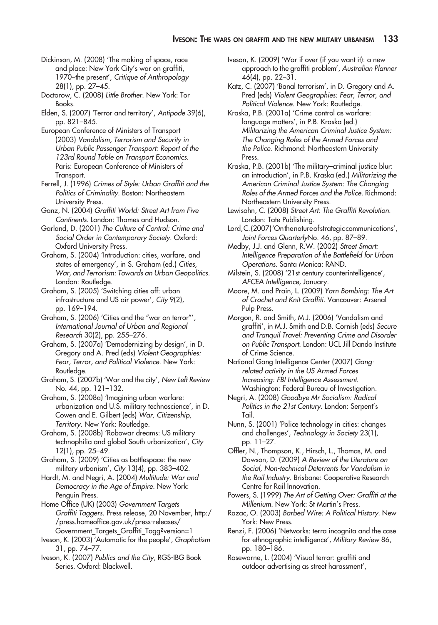- Dickinson, M. (2008) 'The making of space, race and place: New York City's war on graffiti, 1970–the present', *Critique of Anthropology* 28(1), pp. 27–45.
- Doctorow, C. (2008) *Little Brother.* New York: Tor Books.
- Elden, S. (2007) 'Terror and territory', *Antipode* 39(6), pp. 821–845.
- European Conference of Ministers of Transport (2003) *Vandalism, Terrorism and Security in Urban Public Passenger Transport: Report of the 123rd Round Table on Transport Economics.* Paris: European Conference of Ministers of Transport.
- Ferrell, J. (1996) *Crimes of Style: Urban Graffiti and the Politics of Criminality.* Boston: Northeastern University Press.
- Ganz, N. (2004) *Graffiti World: Street Art from Five Continents.* London: Thames and Hudson.
- Garland, D. (2001) *The Culture of Control: Crime and Social Order in Contemporary Society.* Oxford: Oxford University Press.
- Graham, S. (2004) 'Introduction: cities, warfare, and states of emergency', in S. Graham (ed.) *Cities, War, and Terrorism: Towards an Urban Geopolitics.* London: Routledge.
- Graham, S. (2005) 'Switching cities off: urban infrastructure and US air power', *City* 9(2), pp. 169–194.
- Graham, S. (2006) 'Cities and the "war on terror"', *International Journal of Urban and Regional Research* 30(2), pp. 255–276.
- Graham, S. (2007a) 'Demodernizing by design', in D. Gregory and A. Pred (eds) *Violent Geographies: Fear, Terror, and Political Violence.* New York: Routledge.
- Graham, S. (2007b) 'War and the city', *New Left Review*  No. 44, pp. 121–132.
- Graham, S. (2008a) 'Imagining urban warfare: urbanization and U.S. military technoscience', in D. Cowen and E. Gilbert (eds) *War, Citizenship, Territory.* New York: Routledge.
- Graham, S. (2008b) 'Robowar dreams: US military technophilia and global South urbanization', *City* 12(1), pp. 25–49.
- Graham, S. (2009) 'Cities as battlespace: the new military urbanism', *City* 13(4), pp. 383–402.
- Hardt, M. and Negri, A. (2004) *Multitude: War and Democracy in the Age of Empire.* New York: Penguin Press.
- Home Office (UK) (2003) *Government Targets Graffiti Taggers.* Press release, 20 November, http:/ /press.homeoffice.gov.uk/press-releases/ Government\_Targets\_Graffiti\_Tagg?version=1
- Iveson, K. (2003) 'Automatic for the people', *Graphotism* 31, pp. 74–77.
- Iveson, K. (2007) *Publics and the City,* RGS-IBG Book Series. Oxford: Blackwell.
- Iveson, K. (2009) 'War if over (if you want it): a new approach to the graffiti problem', *Australian Planner* 46(4), pp. 22–31.
- Katz, C. (2007) 'Banal terrorism', in D. Gregory and A. Pred (eds) *Violent Geographies: Fear, Terror, and Political Violence.* New York: Routledge.
- Kraska, P.B. (2001a) 'Crime control as warfare: language matters', in P.B. Kraska (ed.) *Militarizing the American Criminal Justice System: The Changing Roles of the Armed Forces and the Police.* Richmond: Northeastern University Press.
- Kraska, P.B. (2001b) 'The military–criminal justice blur: an introduction', in P.B. Kraska (ed.) *Militarizing the American Criminal Justice System: The Changing Roles of the Armed Forces and the Police.* Richmond: Northeastern University Press.
- Lewisohn, C. (2008) *Street Art: The Graffiti Revolution.* London: Tate Publishing.
- Lord, C. (2007) 'On the nature of strategic communications', *Joint Forces Quarterly*No. 46, pp. 87–89.
- Medby, J.J. and Glenn, R.W. (2002) *Street Smart: Intelligence Preparation of the Battlefield for Urban Operations.* Santa Monica: RAND.
- Milstein, S. (2008) '21st century counterintelligence', *AFCEA Intelligence,* January.
- Moore, M. and Prain, L. (2009) *Yarn Bombing: The Art of Crochet and Knit Graffiti.* Vancouver: Arsenal Pulp Press.
- Morgon, R. and Smith, M.J. (2006) 'Vandalism and graffiti', in M.J. Smith and D.B. Cornish (eds) *Secure and Tranquil Travel: Preventing Crime and Disorder on Public Transport.* London: UCL Jill Dando Institute of Crime Science.
- National Gang Intelligence Center (2007) *Gangrelated activity in the US Armed Forces Increasing: FBI Intelligence Assessment.* Washington: Federal Bureau of Investigation.
- Negri, A. (2008) *Goodbye Mr Socialism: Radical Politics in the 21st Century.* London: Serpent's Tail.
- Nunn, S. (2001) 'Police technology in cities: changes and challenges', *Technology in Society* 23(1), pp. 11–27.
- Offler, N., Thompson, K., Hirsch, L., Thomas, M. and Dawson, D. (2009) *A Review of the Literature on Social, Non-technical Deterrents for Vandalism in the Rail Industry.* Brisbane: Cooperative Research Centre for Rail Innovation.
- Powers, S. (1999) *The Art of Getting Over: Graffiti at the Millenium.* New York: St Martin's Press.
- Razac, O. (2003) *Barbed Wire: A Political History.* New York: New Press.
- Renzi, F. (2006) 'Networks: terra incognita and the case for ethnographic intelligence', *Military Review* 86, pp. 180–186.
- Rosewarne, L. (2004) 'Visual terror: graffiti and outdoor advertising as street harassment',